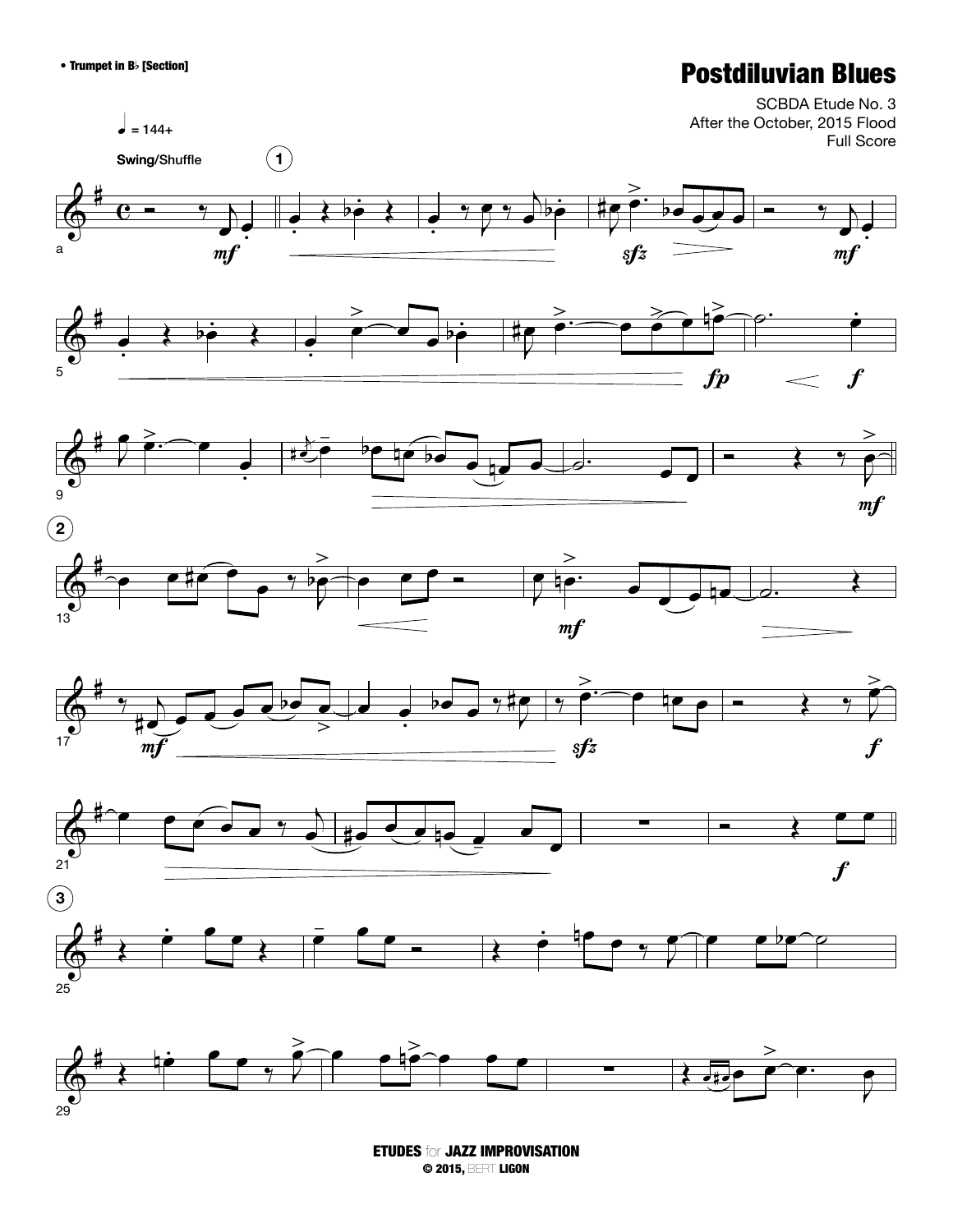## • Trumpet in Bb [Section] **Postdiluvian Blues**



ETUDES for JAZZ IMPROVISATION © 2015, BERT LIGON